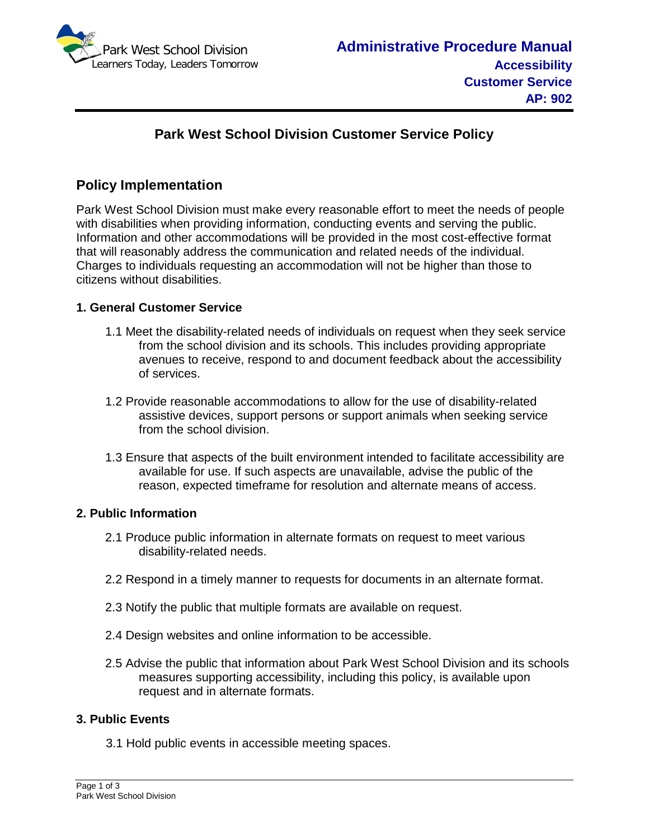

# **Park West School Division Customer Service Policy**

## **Policy Implementation**

Park West School Division must make every reasonable effort to meet the needs of people with disabilities when providing information, conducting events and serving the public. Information and other accommodations will be provided in the most cost-effective format that will reasonably address the communication and related needs of the individual. Charges to individuals requesting an accommodation will not be higher than those to citizens without disabilities.

### **1. General Customer Service**

- 1.1 Meet the disability-related needs of individuals on request when they seek service from the school division and its schools. This includes providing appropriate avenues to receive, respond to and document feedback about the accessibility of services.
- 1.2 Provide reasonable accommodations to allow for the use of disability-related assistive devices, support persons or support animals when seeking service from the school division.
- 1.3 Ensure that aspects of the built environment intended to facilitate accessibility are available for use. If such aspects are unavailable, advise the public of the reason, expected timeframe for resolution and alternate means of access.

#### **2. Public Information**

- 2.1 Produce public information in alternate formats on request to meet various disability-related needs.
- 2.2 Respond in a timely manner to requests for documents in an alternate format.
- 2.3 Notify the public that multiple formats are available on request.
- 2.4 Design websites and online information to be accessible.
- 2.5 Advise the public that information about Park West School Division and its schools measures supporting accessibility, including this policy, is available upon request and in alternate formats.

#### **3. Public Events**

3.1 Hold public events in accessible meeting spaces.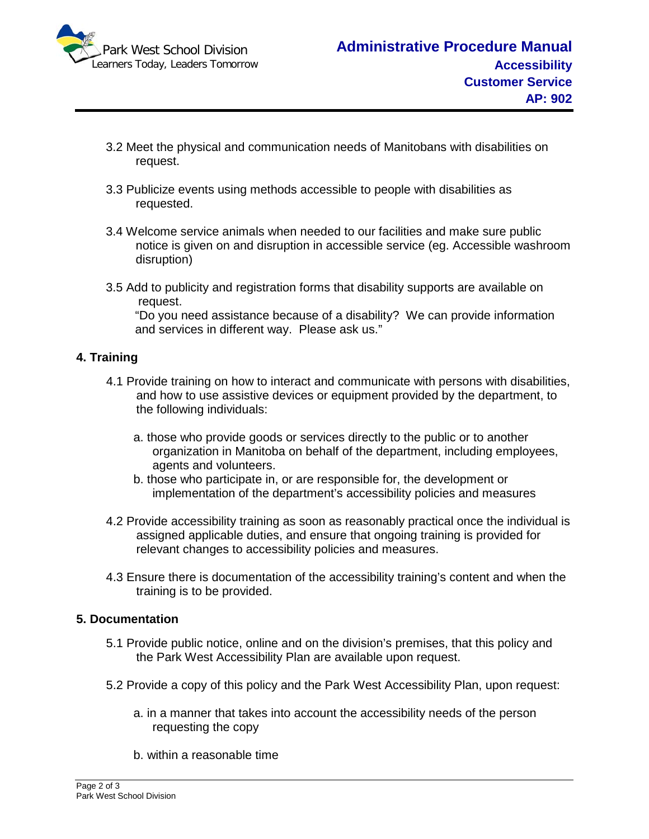

- 3.2 Meet the physical and communication needs of Manitobans with disabilities on request.
- 3.3 Publicize events using methods accessible to people with disabilities as requested.
- 3.4 Welcome service animals when needed to our facilities and make sure public notice is given on and disruption in accessible service (eg. Accessible washroom disruption)
- 3.5 Add to publicity and registration forms that disability supports are available on request.

"Do you need assistance because of a disability? We can provide information and services in different way. Please ask us."

#### **4. Training**

- 4.1 Provide training on how to interact and communicate with persons with disabilities, and how to use assistive devices or equipment provided by the department, to the following individuals:
	- a. those who provide goods or services directly to the public or to another organization in Manitoba on behalf of the department, including employees, agents and volunteers.
	- b. those who participate in, or are responsible for, the development or implementation of the department's accessibility policies and measures
- 4.2 Provide accessibility training as soon as reasonably practical once the individual is assigned applicable duties, and ensure that ongoing training is provided for relevant changes to accessibility policies and measures.
- 4.3 Ensure there is documentation of the accessibility training's content and when the training is to be provided.

#### **5. Documentation**

- 5.1 Provide public notice, online and on the division's premises, that this policy and the Park West Accessibility Plan are available upon request.
- 5.2 Provide a copy of this policy and the Park West Accessibility Plan, upon request:
	- a. in a manner that takes into account the accessibility needs of the person requesting the copy
	- b. within a reasonable time